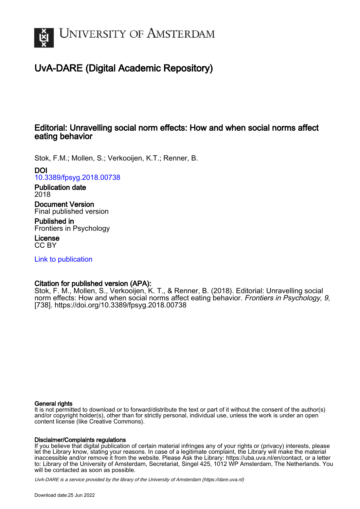

## UvA-DARE (Digital Academic Repository)

## Editorial: Unravelling social norm effects: How and when social norms affect eating behavior

Stok, F.M.; Mollen, S.; Verkooijen, K.T.; Renner, B.

### DOI

[10.3389/fpsyg.2018.00738](https://doi.org/10.3389/fpsyg.2018.00738)

#### Publication date 2018

Document Version Final published version

Published in Frontiers in Psychology

License CC BY

[Link to publication](https://dare.uva.nl/personal/pure/en/publications/editorial-unravelling-social-norm-effects-how-and-when-social-norms-affect-eating-behavior(ad83551a-91b8-41b4-829b-25182a9ad976).html)

## Citation for published version (APA):

Stok, F. M., Mollen, S., Verkooijen, K. T., & Renner, B. (2018). Editorial: Unravelling social norm effects: How and when social norms affect eating behavior. Frontiers in Psychology, 9, [738].<https://doi.org/10.3389/fpsyg.2018.00738>

#### General rights

It is not permitted to download or to forward/distribute the text or part of it without the consent of the author(s) and/or copyright holder(s), other than for strictly personal, individual use, unless the work is under an open content license (like Creative Commons).

#### Disclaimer/Complaints regulations

If you believe that digital publication of certain material infringes any of your rights or (privacy) interests, please let the Library know, stating your reasons. In case of a legitimate complaint, the Library will make the material inaccessible and/or remove it from the website. Please Ask the Library: https://uba.uva.nl/en/contact, or a letter to: Library of the University of Amsterdam, Secretariat, Singel 425, 1012 WP Amsterdam, The Netherlands. You will be contacted as soon as possible.

UvA-DARE is a service provided by the library of the University of Amsterdam (http*s*://dare.uva.nl)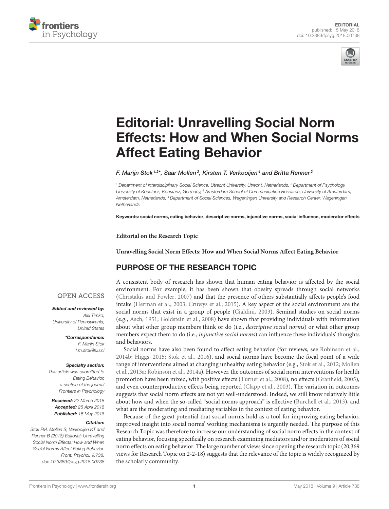



# Editorial: Unravelling Social Norm [Effects: How and When Social Norms](https://www.frontiersin.org/articles/10.3389/fpsyg.2018.00738/full) Affect Eating Behavior

[F. Marijn Stok](http://loop.frontiersin.org/people/153371/overview) <sup>1,2\*</sup>, [Saar Mollen](http://loop.frontiersin.org/people/186002/overview) <sup>3</sup>, [Kirsten T. Verkooijen](http://loop.frontiersin.org/people/186069/overview) <sup>4</sup> and [Britta Renner](http://loop.frontiersin.org/people/19538/overview) <del>2</del>

*<sup>1</sup> Department of Interdisciplinary Social Science, Utrecht University, Utrecht, Netherlands, <sup>2</sup> Department of Psychology, University of Konstanz, Konstanz, Germany, <sup>3</sup> Amsterdam School of Communication Research, University of Amsterdam, Amsterdam, Netherlands, <sup>4</sup> Department of Social Sciences, Wageningen University and Research Center, Wageningen, Netherlands*

Keywords: social norms, eating behavior, descriptive norms, injunctive norms, social influence, moderator effects

**Editorial on the Research Topic**

**[Unravelling Social Norm Effects: How and When Social Norms Affect Eating Behavior](https://www.frontiersin.org/research-topics/3505/unravelling-social-norm-effects-how-and-when-social-norms-affect-eating-behavior)**

## PURPOSE OF THE RESEARCH TOPIC

#### **OPEN ACCESS**

#### Edited and reviewed by:

*Alix Timko, University of Pennsylvania, United States*

> \*Correspondence: *F. Marijn Stok [f.m.stok@uu.nl](mailto:f.m.stok@uu.nl)*

#### Specialty section:

*This article was submitted to Eating Behavior, a section of the journal Frontiers in Psychology*

Received: *22 March 2018* Accepted: *26 April 2018* Published: *15 May 2018*

#### Citation:

*Stok FM, Mollen S, Verkooijen KT and Renner B (2018) Editorial: Unravelling Social Norm Effects: How and When Social Norms Affect Eating Behavior. Front. Psychol. 9:738. doi: [10.3389/fpsyg.2018.00738](https://doi.org/10.3389/fpsyg.2018.00738)*

A consistent body of research has shown that human eating behavior is affected by the social environment. For example, it has been shown that obesity spreads through social networks [\(Christakis and Fowler, 2007\)](#page-3-0) and that the presence of others substantially affects people's food intake [\(Herman et al., 2003;](#page-3-1) [Cruwys et al., 2015\)](#page-3-2). A key aspect of the social environment are the social norms that exist in a group of people [\(Cialdini, 2003\)](#page-3-3). Seminal studies on social norms (e.g., [Asch, 1951;](#page-3-4) [Goldstein et al., 2008\)](#page-3-5) have shown that providing individuals with information about what other group members think or do (i.e., *descriptive social norms*) or what other group members expect them to do (i.e., *injunctive social norms*) can influence these individuals' thoughts and behaviors.

Social norms have also been found to affect eating behavior (for reviews, see [Robinson et al.,](#page-3-6) [2014b;](#page-3-6) [Higgs, 2015;](#page-3-7) [Stok et al., 2016\)](#page-3-8), and social norms have become the focal point of a wide range of interventions aimed at changing unhealthy eating behavior (e.g., [Stok et al., 2012;](#page-3-9) Mollen et al., [2013a;](#page-3-10) [Robinson et al., 2014a\)](#page-3-11). However, the outcomes of social norm interventions for health promotion have been mixed, with positive effects [\(Turner et al., 2008\)](#page-3-12), no effects [\(Granfield, 2005\)](#page-3-13), and even counterproductive effects being reported [\(Clapp et al., 2003\)](#page-3-14). The variation in outcomes suggests that social norm effects are not yet well-understood. Indeed, we still know relatively little about how and when the so-called "social norms approach" is effective [\(Burchell et al., 2013\)](#page-3-15), and what are the moderating and mediating variables in the context of eating behavior.

Because of the great potential that social norms hold as a tool for improving eating behavior, improved insight into social norms' working mechanisms is urgently needed. The purpose of this Research Topic was therefore to increase our understanding of social norm effects in the context of eating behavior, focusing specifically on research examining mediators and/or moderators of social norm effects on eating behavior. The large number of views since opening the research topic (20,369 views for Research Topic on 2-2-18) suggests that the relevance of the topic is widely recognized by the scholarly community.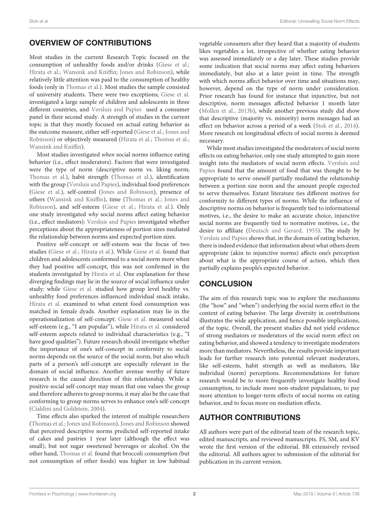## OVERVIEW OF CONTRIBUTIONS

Most studies in the current Research Topic focused on the consumption of unhealthy foods and/or drinks [\(Giese et al.;](https://doi.org/10.3389/fpsyg.2015.01308) [Hirata et al.;](https://doi.org/10.3389/fpsyg.2015.01920) [Wansink and Kniffin;](https://doi.org/10.3389/fnut.2016.00051) [Jones and Robinson\)](https://doi.org/10.3389/fpsyg.2017.00002), while relatively little attention was paid to the consumption of healthy foods (only in [Thomas et al.\)](https://doi.org/10.3389/fpsyg.2016.00442). Most studies the sample consisted of university students. There were two exceptions; [Giese et al.](https://doi.org/10.3389/fpsyg.2015.01308) investigated a large sample of children and adolescents in three different countries, and [Versluis and Papies](https://doi.org/10.3389/fpsyg.2016.00756) used a consumer panel in their second study. A strength of studies in the current topic is that they mostly focused on actual eating behavior as [the outcome measure, either self-reported \(Giese et al.; Jones and](https://doi.org/10.3389/fpsyg.2017.00002) Robinson) or objectively measured [\(Hirata et al.;](https://doi.org/10.3389/fpsyg.2015.01920) [Thomas et al.;](https://doi.org/10.3389/fpsyg.2016.00442) [Wansink and Kniffin\)](https://doi.org/10.3389/fnut.2016.00051).

Most studies investigated when social norms influence eating behavior (i.e., effect moderators). Factors that were investigated were the type of norm (descriptive norm vs. liking norm; [Thomas et al.\)](https://doi.org/10.3389/fpsyg.2016.00442), habit strength [\(Thomas et al.\)](https://doi.org/10.3389/fpsyg.2016.00442), identification with the group [\(Versluis and Papies\)](https://doi.org/10.3389/fpsyg.2016.00756), individual food preferences [\(Giese et al.\)](https://doi.org/10.3389/fpsyg.2015.01308), self-control [\(Jones and Robinson\)](https://doi.org/10.3389/fpsyg.2017.00002), presence of [others \(Wansink and Kniffin\), time \(Thomas et al.; Jones and](https://doi.org/10.3389/fpsyg.2017.00002) Robinson), and self-esteem [\(Giese et al.;](https://doi.org/10.3389/fpsyg.2015.01308) [Hirata et al.\)](https://doi.org/10.3389/fpsyg.2015.01920). Only one study investigated why social norms affect eating behavior (i.e., effect mediators): [Versluis and Papies](https://doi.org/10.3389/fpsyg.2016.00756) investigated whether perceptions about the appropriateness of portion sizes mediated the relationship between norms and expected portion sizes.

Positive self-concept or self-esteem was the focus of two studies [\(Giese et al.;](https://doi.org/10.3389/fpsyg.2015.01308) [Hirata et al.\)](https://doi.org/10.3389/fpsyg.2015.01920). While [Giese et al.](https://doi.org/10.3389/fpsyg.2015.01308) found that children and adolescents conformed to a social norm more when they had positive self-concept, this was not confirmed in the students investigated by [Hirata et al.](https://doi.org/10.3389/fpsyg.2015.01920) One explanation for these diverging findings may lie in the source of social influence under study: while [Giese et al.](https://doi.org/10.3389/fpsyg.2015.01308) studied how group level healthy vs. unhealthy food preferences influenced individual snack intake, [Hirata et al.](https://doi.org/10.3389/fpsyg.2015.01920) examined to what extent food consumption was matched in female dyads. Another explanation may lie in the operationalization of self-concept: [Giese et al.](https://doi.org/10.3389/fpsyg.2015.01308) measured social self-esteem (e.g., "I am popular"), while [Hirata et al.](https://doi.org/10.3389/fpsyg.2015.01920) considered self-esteem aspects related to individual characteristics (e.g., "I have good qualities"). Future research should investigate whether the importance of one's self-concept in conformity to social norms depends on the source of the social norm, but also which parts of a person's self-concept are especially relevant in the domain of social influence. Another avenue worthy of future research is the causal direction of this relationship. While a positive social self-concept may mean that one values the group and therefore adheres to group norms, it may also be the case that conforming to group norms serves to enhance one's self-concept [\(Cialdini and Goldstein, 2004\)](#page-3-16).

Time effects also sparked the interest of multiple researchers [\(Thomas et al.;](https://doi.org/10.3389/fpsyg.2016.00442) [Jones and Robinson\)](https://doi.org/10.3389/fpsyg.2017.00002). [Jones and Robinson](https://doi.org/10.3389/fpsyg.2017.00002) showed that perceived descriptive norms predicted self-reported intake of cakes and pastries 1 year later (although the effect was small), but not sugar sweetened beverages or alcohol. On the other hand, [Thomas et al.](https://doi.org/10.3389/fpsyg.2016.00442) found that broccoli consumption (but not consumption of other foods) was higher in low habitual

vegetable consumers after they heard that a majority of students likes vegetables a lot, irrespective of whether eating behavior was assessed immediately or a day later. These studies provide some indication that social norms may affect eating behaviors immediately, but also at a later point in time. The strength with which norms affect behavior over time and situations may, however, depend on the type of norm under consideration. Prior research has found for instance that injunctive, but not descriptive, norm messages affected behavior 1 month later [\(Mollen et al., 2013b\)](#page-3-17), while another previous study did show that descriptive (majority vs. minority) norm messages had an effect on behavior across a period of a week [\(Stok et al., 2014\)](#page-3-18). More research on longitudinal effects of social norms is deemed necessary.

While most studies investigated the moderators of social norm effects on eating behavior, only one study attempted to gain more insight into the mediators of social norm effects. Versluis and Papies [found that the amount of food that was thought to be](https://doi.org/10.3389/fpsyg.2016.00756) appropriate to serve oneself partially mediated the relationship between a portion size norm and the amount people expected to serve themselves. Extant literature ties different motives for conformity to different types of norms. While the influence of descriptive norms on behavior is frequently tied to informational motives, i.e., the desire to make an accurate choice, injunctive social norms are frequently tied to normative motives, i.e., the desire to affiliate [\(Deutsch and Gerard, 1955\)](#page-3-19). The study by [Versluis and Papies](https://doi.org/10.3389/fpsyg.2016.00756) shows that, in the domain of eating behavior, there is indeed evidence that information about what others deem appropriate (akin to injunctive norms) affects one's perception about what is the appropriate course of action, which then partially explains people's expected behavior.

## **CONCLUSION**

The aim of this research topic was to explore the mechanisms (the "how" and "when") underlying the social norm effect in the context of eating behavior. The large diversity in contributions illustrates the wide application, and hence possible implications, of the topic. Overall, the present studies did not yield evidence of strong mediators or moderators of the social norm effect on eating behavior, and showed a tendency to investigate moderators more than mediators. Nevertheless, the results provide important leads for further research into potential relevant moderators, like self-esteem, habit strength as well as mediators, like individual (norm) perceptions. Recommendations for future research would be to more frequently investigate healthy food consumption, to include more non-student populations, to pay more attention to longer-term effects of social norms on eating behavior, and to focus more on mediation effects.

## AUTHOR CONTRIBUTIONS

All authors were part of the editorial team of the research topic, edited manuscripts, and reviewed manuscripts. FS, SM, and KV wrote the first version of the editorial. BR extensively revised the editorial. All authors agree to submission of the editorial for publication in its current version.